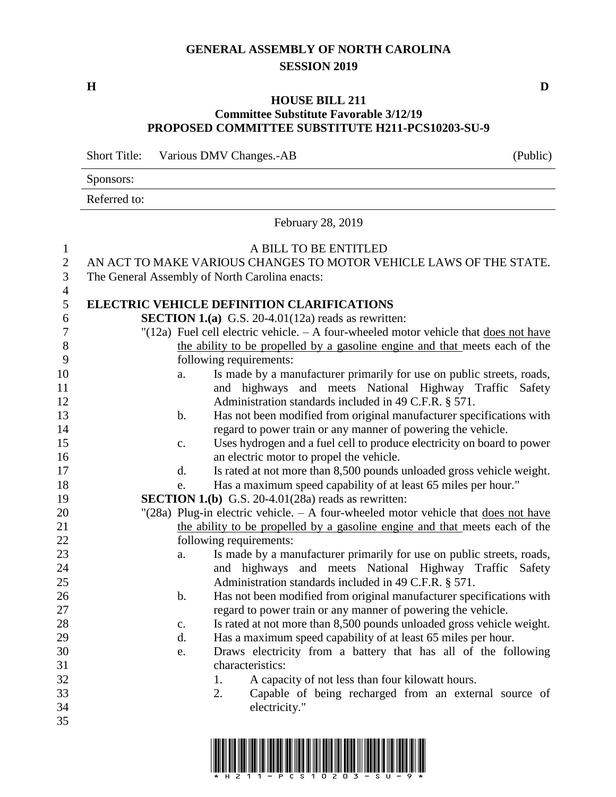## **GENERAL ASSEMBLY OF NORTH CAROLINA SESSION 2019**

Sponsors:

## **HOUSE BILL 211 Committee Substitute Favorable 3/12/19 PROPOSED COMMITTEE SUBSTITUTE H211-PCS10203-SU-9**

Short Title: Various DMV Changes.-AB (Public)

|                                     | Referred to:                                                                                                                                  |    |                                                                                                                                                      |  |  |  |  |  |
|-------------------------------------|-----------------------------------------------------------------------------------------------------------------------------------------------|----|------------------------------------------------------------------------------------------------------------------------------------------------------|--|--|--|--|--|
|                                     | February 28, 2019                                                                                                                             |    |                                                                                                                                                      |  |  |  |  |  |
| $\mathbf{1}$<br>$\overline{2}$<br>3 | A BILL TO BE ENTITLED<br>AN ACT TO MAKE VARIOUS CHANGES TO MOTOR VEHICLE LAWS OF THE STATE.<br>The General Assembly of North Carolina enacts: |    |                                                                                                                                                      |  |  |  |  |  |
| $\overline{4}$                      |                                                                                                                                               |    |                                                                                                                                                      |  |  |  |  |  |
| 5<br>6                              |                                                                                                                                               |    | <b>ELECTRIC VEHICLE DEFINITION CLARIFICATIONS</b>                                                                                                    |  |  |  |  |  |
| $\boldsymbol{7}$                    |                                                                                                                                               |    | <b>SECTION 1.(a)</b> G.S. 20-4.01(12a) reads as rewritten:<br>"(12a) Fuel cell electric vehicle. $- A$ four-wheeled motor vehicle that does not have |  |  |  |  |  |
| 8                                   |                                                                                                                                               |    | the ability to be propelled by a gasoline engine and that meets each of the                                                                          |  |  |  |  |  |
| 9                                   |                                                                                                                                               |    | following requirements:                                                                                                                              |  |  |  |  |  |
| 10                                  |                                                                                                                                               | a. | Is made by a manufacturer primarily for use on public streets, roads,                                                                                |  |  |  |  |  |
| 11                                  |                                                                                                                                               |    | and highways and meets National Highway Traffic Safety                                                                                               |  |  |  |  |  |
| 12                                  |                                                                                                                                               |    | Administration standards included in 49 C.F.R. § 571.                                                                                                |  |  |  |  |  |
| 13                                  |                                                                                                                                               | b. | Has not been modified from original manufacturer specifications with                                                                                 |  |  |  |  |  |
| 14                                  |                                                                                                                                               |    | regard to power train or any manner of powering the vehicle.                                                                                         |  |  |  |  |  |
| 15                                  |                                                                                                                                               | c. | Uses hydrogen and a fuel cell to produce electricity on board to power                                                                               |  |  |  |  |  |
| 16                                  |                                                                                                                                               |    | an electric motor to propel the vehicle.                                                                                                             |  |  |  |  |  |
| 17                                  |                                                                                                                                               | d. | Is rated at not more than 8,500 pounds unloaded gross vehicle weight.                                                                                |  |  |  |  |  |
| 18<br>19                            |                                                                                                                                               | e. | Has a maximum speed capability of at least 65 miles per hour."                                                                                       |  |  |  |  |  |
| 20                                  |                                                                                                                                               |    | <b>SECTION 1.(b)</b> G.S. 20-4.01(28a) reads as rewritten:<br>"(28a) Plug-in electric vehicle. $- A$ four-wheeled motor vehicle that does not have   |  |  |  |  |  |
| 21                                  |                                                                                                                                               |    | the ability to be propelled by a gasoline engine and that meets each of the                                                                          |  |  |  |  |  |
| 22                                  |                                                                                                                                               |    | following requirements:                                                                                                                              |  |  |  |  |  |
| 23                                  |                                                                                                                                               | a. | Is made by a manufacturer primarily for use on public streets, roads,                                                                                |  |  |  |  |  |
| 24                                  |                                                                                                                                               |    | and highways and meets National Highway Traffic Safety                                                                                               |  |  |  |  |  |
| 25                                  |                                                                                                                                               |    | Administration standards included in 49 C.F.R. § 571.                                                                                                |  |  |  |  |  |
| $26\,$                              |                                                                                                                                               | b. | Has not been modified from original manufacturer specifications with                                                                                 |  |  |  |  |  |
| 27                                  |                                                                                                                                               |    | regard to power train or any manner of powering the vehicle.                                                                                         |  |  |  |  |  |
| 28                                  |                                                                                                                                               | c. | Is rated at not more than 8,500 pounds unloaded gross vehicle weight.                                                                                |  |  |  |  |  |
| 29                                  |                                                                                                                                               | d. | Has a maximum speed capability of at least 65 miles per hour.                                                                                        |  |  |  |  |  |
| 30                                  |                                                                                                                                               | e. | Draws electricity from a battery that has all of the following                                                                                       |  |  |  |  |  |
| 31                                  |                                                                                                                                               |    | characteristics:                                                                                                                                     |  |  |  |  |  |
| 32                                  |                                                                                                                                               | 1. | A capacity of not less than four kilowatt hours.                                                                                                     |  |  |  |  |  |
| 33                                  |                                                                                                                                               | 2. | Capable of being recharged from an external source of                                                                                                |  |  |  |  |  |
| 34<br>35                            |                                                                                                                                               |    | electricity."                                                                                                                                        |  |  |  |  |  |
|                                     |                                                                                                                                               |    |                                                                                                                                                      |  |  |  |  |  |



**H D**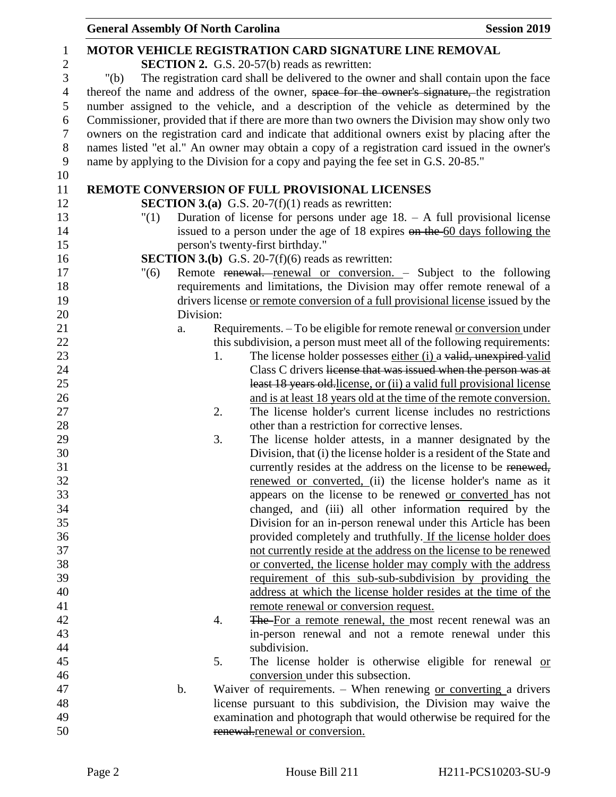|                | <b>General Assembly Of North Carolina</b> |                                                                                                | <b>Session 2019</b> |
|----------------|-------------------------------------------|------------------------------------------------------------------------------------------------|---------------------|
| 1              |                                           | <b>MOTOR VEHICLE REGISTRATION CARD SIGNATURE LINE REMOVAL</b>                                  |                     |
| $\overline{2}$ |                                           | <b>SECTION 2.</b> G.S. 20-57(b) reads as rewritten:                                            |                     |
| 3              | " $(b)$                                   | The registration card shall be delivered to the owner and shall contain upon the face          |                     |
| $\overline{4}$ |                                           | thereof the name and address of the owner, space for the owner's signature, the registration   |                     |
| 5              |                                           | number assigned to the vehicle, and a description of the vehicle as determined by the          |                     |
| 6              |                                           | Commissioner, provided that if there are more than two owners the Division may show only two   |                     |
| $\overline{7}$ |                                           | owners on the registration card and indicate that additional owners exist by placing after the |                     |
| $8\,$          |                                           | names listed "et al." An owner may obtain a copy of a registration card issued in the owner's  |                     |
| 9              |                                           | name by applying to the Division for a copy and paying the fee set in G.S. 20-85."             |                     |
| 10             |                                           |                                                                                                |                     |
| 11             |                                           | REMOTE CONVERSION OF FULL PROVISIONAL LICENSES                                                 |                     |
| 12             |                                           | <b>SECTION 3.(a)</b> G.S. 20-7(f)(1) reads as rewritten:                                       |                     |
| 13             | "(1)                                      | Duration of license for persons under age $18. - A$ full provisional license                   |                     |
| 14             |                                           | issued to a person under the age of 18 expires on the 60 days following the                    |                     |
| 15             |                                           | person's twenty-first birthday."                                                               |                     |
| 16             |                                           | <b>SECTION 3.(b)</b> G.S. 20-7(f)(6) reads as rewritten:                                       |                     |
| 17             | "(6)                                      | Remote renewal. renewal or conversion. - Subject to the following                              |                     |
| 18             |                                           | requirements and limitations, the Division may offer remote renewal of a                       |                     |
| 19             |                                           | drivers license or remote conversion of a full provisional license issued by the               |                     |
| 20             | Division:                                 |                                                                                                |                     |
| 21             | a.                                        | Requirements. - To be eligible for remote renewal or conversion under                          |                     |
| 22             |                                           | this subdivision, a person must meet all of the following requirements:                        |                     |
| 23             | 1.                                        | The license holder possesses either (i) a valid, unexpired valid                               |                     |
| 24             |                                           | Class C drivers license that was issued when the person was at                                 |                     |
| 25             |                                           | least 18 years old-license, or (ii) a valid full provisional license                           |                     |
| 26             |                                           | and is at least 18 years old at the time of the remote conversion.                             |                     |
| 27             | 2.                                        | The license holder's current license includes no restrictions                                  |                     |
| 28             |                                           | other than a restriction for corrective lenses.                                                |                     |
| 29             | 3.                                        | The license holder attests, in a manner designated by the                                      |                     |
| 30             |                                           | Division, that (i) the license holder is a resident of the State and                           |                     |
| 31             |                                           | currently resides at the address on the license to be renewed,                                 |                     |
| 32             |                                           | renewed or converted, (ii) the license holder's name as it                                     |                     |
| 33             |                                           | appears on the license to be renewed or converted has not                                      |                     |
| 34             |                                           | changed, and (iii) all other information required by the                                       |                     |
| 35             |                                           | Division for an in-person renewal under this Article has been                                  |                     |
| 36             |                                           | provided completely and truthfully. If the license holder does                                 |                     |
| 37             |                                           | not currently reside at the address on the license to be renewed                               |                     |
| 38             |                                           | or converted, the license holder may comply with the address                                   |                     |
| 39             |                                           | requirement of this sub-sub-subdivision by providing the                                       |                     |
| 40             |                                           | address at which the license holder resides at the time of the                                 |                     |
| 41             |                                           | remote renewal or conversion request.                                                          |                     |
| 42             | 4.                                        | The For a remote renewal, the most recent renewal was an                                       |                     |
| 43             |                                           | in-person renewal and not a remote renewal under this                                          |                     |
| 44             |                                           | subdivision.                                                                                   |                     |
| 45             | 5.                                        | The license holder is otherwise eligible for renewal or                                        |                     |
| 46             |                                           | conversion under this subsection.                                                              |                     |
| 47             | b.                                        | Waiver of requirements. $-$ When renewing or converting a drivers                              |                     |
| 48             |                                           | license pursuant to this subdivision, the Division may waive the                               |                     |
| 49             |                                           | examination and photograph that would otherwise be required for the                            |                     |
| 50             |                                           | renewal.renewal or conversion.                                                                 |                     |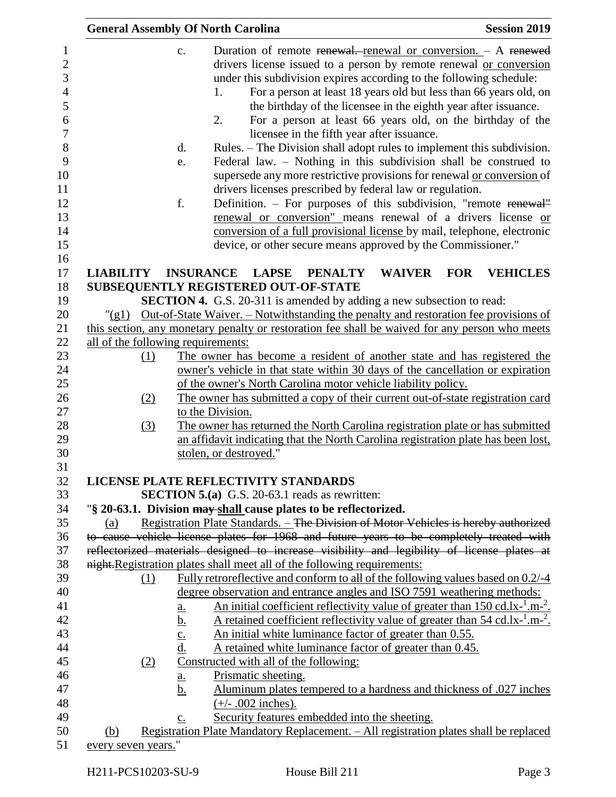|                     |     | <b>General Assembly Of North Carolina</b>                                                                                                                                                                                                                                                                                                                                                                                                                                                                                                                                                                                                                                                                                                                                                                                                                                                                                                                                                                                                                                          | <b>Session 2019</b> |
|---------------------|-----|------------------------------------------------------------------------------------------------------------------------------------------------------------------------------------------------------------------------------------------------------------------------------------------------------------------------------------------------------------------------------------------------------------------------------------------------------------------------------------------------------------------------------------------------------------------------------------------------------------------------------------------------------------------------------------------------------------------------------------------------------------------------------------------------------------------------------------------------------------------------------------------------------------------------------------------------------------------------------------------------------------------------------------------------------------------------------------|---------------------|
|                     |     | Duration of remote renewal. renewal or conversion. - A renewed<br>$C_{\bullet}$<br>drivers license issued to a person by remote renewal or conversion<br>under this subdivision expires according to the following schedule:<br>For a person at least 18 years old but less than 66 years old, on<br>1.<br>the birthday of the licensee in the eighth year after issuance.<br>2.<br>For a person at least 66 years old, on the birthday of the<br>licensee in the fifth year after issuance.<br>Rules. – The Division shall adopt rules to implement this subdivision.<br>d.<br>Federal law. - Nothing in this subdivision shall be construed to<br>e.<br>supersede any more restrictive provisions for renewal or conversion of<br>drivers licenses prescribed by federal law or regulation.<br>f.<br>Definition. – For purposes of this subdivision, "remote renewal"<br>renewal or conversion" means renewal of a drivers license or<br>conversion of a full provisional license by mail, telephone, electronic<br>device, or other secure means approved by the Commissioner." |                     |
| <b>LIABILITY</b>    |     | <b>INSURANCE</b><br><b>LAPSE</b><br><b>WAIVER</b><br><b>FOR</b><br><b>PENALTY</b>                                                                                                                                                                                                                                                                                                                                                                                                                                                                                                                                                                                                                                                                                                                                                                                                                                                                                                                                                                                                  | <b>VEHICLES</b>     |
|                     |     | SUBSEQUENTLY REGISTERED OUT-OF-STATE                                                                                                                                                                                                                                                                                                                                                                                                                                                                                                                                                                                                                                                                                                                                                                                                                                                                                                                                                                                                                                               |                     |
|                     |     | <b>SECTION 4.</b> G.S. 20-311 is amended by adding a new subsection to read:                                                                                                                                                                                                                                                                                                                                                                                                                                                                                                                                                                                                                                                                                                                                                                                                                                                                                                                                                                                                       |                     |
|                     |     | "(g1) Out-of-State Waiver. – Notwithstanding the penalty and restoration fee provisions of                                                                                                                                                                                                                                                                                                                                                                                                                                                                                                                                                                                                                                                                                                                                                                                                                                                                                                                                                                                         |                     |
|                     |     | this section, any monetary penalty or restoration fee shall be waived for any person who meets                                                                                                                                                                                                                                                                                                                                                                                                                                                                                                                                                                                                                                                                                                                                                                                                                                                                                                                                                                                     |                     |
|                     |     | all of the following requirements:                                                                                                                                                                                                                                                                                                                                                                                                                                                                                                                                                                                                                                                                                                                                                                                                                                                                                                                                                                                                                                                 |                     |
|                     | (1) | The owner has become a resident of another state and has registered the                                                                                                                                                                                                                                                                                                                                                                                                                                                                                                                                                                                                                                                                                                                                                                                                                                                                                                                                                                                                            |                     |
|                     |     | owner's vehicle in that state within 30 days of the cancellation or expiration                                                                                                                                                                                                                                                                                                                                                                                                                                                                                                                                                                                                                                                                                                                                                                                                                                                                                                                                                                                                     |                     |
|                     |     | of the owner's North Carolina motor vehicle liability policy.                                                                                                                                                                                                                                                                                                                                                                                                                                                                                                                                                                                                                                                                                                                                                                                                                                                                                                                                                                                                                      |                     |
|                     | (2) | The owner has submitted a copy of their current out-of-state registration card                                                                                                                                                                                                                                                                                                                                                                                                                                                                                                                                                                                                                                                                                                                                                                                                                                                                                                                                                                                                     |                     |
|                     |     | to the Division.                                                                                                                                                                                                                                                                                                                                                                                                                                                                                                                                                                                                                                                                                                                                                                                                                                                                                                                                                                                                                                                                   |                     |
|                     | (3) | The owner has returned the North Carolina registration plate or has submitted                                                                                                                                                                                                                                                                                                                                                                                                                                                                                                                                                                                                                                                                                                                                                                                                                                                                                                                                                                                                      |                     |
|                     |     | an affidavit indicating that the North Carolina registration plate has been lost,                                                                                                                                                                                                                                                                                                                                                                                                                                                                                                                                                                                                                                                                                                                                                                                                                                                                                                                                                                                                  |                     |
|                     |     | stolen, or destroyed."                                                                                                                                                                                                                                                                                                                                                                                                                                                                                                                                                                                                                                                                                                                                                                                                                                                                                                                                                                                                                                                             |                     |
|                     |     |                                                                                                                                                                                                                                                                                                                                                                                                                                                                                                                                                                                                                                                                                                                                                                                                                                                                                                                                                                                                                                                                                    |                     |
|                     |     | LICENSE PLATE REFLECTIVITY STANDARDS                                                                                                                                                                                                                                                                                                                                                                                                                                                                                                                                                                                                                                                                                                                                                                                                                                                                                                                                                                                                                                               |                     |
|                     |     | <b>SECTION 5.(a)</b> G.S. 20-63.1 reads as rewritten:                                                                                                                                                                                                                                                                                                                                                                                                                                                                                                                                                                                                                                                                                                                                                                                                                                                                                                                                                                                                                              |                     |
|                     |     | "§ 20-63.1. Division may shall cause plates to be reflectorized.                                                                                                                                                                                                                                                                                                                                                                                                                                                                                                                                                                                                                                                                                                                                                                                                                                                                                                                                                                                                                   |                     |
| (a)                 |     | Registration Plate Standards. - The Division of Motor Vehicles is hereby authorized                                                                                                                                                                                                                                                                                                                                                                                                                                                                                                                                                                                                                                                                                                                                                                                                                                                                                                                                                                                                |                     |
|                     |     | to cause vehicle license plates for 1968 and future years to be completely treated with                                                                                                                                                                                                                                                                                                                                                                                                                                                                                                                                                                                                                                                                                                                                                                                                                                                                                                                                                                                            |                     |
|                     |     | reflectorized materials designed to increase visibility and legibility of license plates at                                                                                                                                                                                                                                                                                                                                                                                                                                                                                                                                                                                                                                                                                                                                                                                                                                                                                                                                                                                        |                     |
|                     |     | night. Registration plates shall meet all of the following requirements:                                                                                                                                                                                                                                                                                                                                                                                                                                                                                                                                                                                                                                                                                                                                                                                                                                                                                                                                                                                                           |                     |
|                     | (1) | Fully retroreflective and conform to all of the following values based on 0.2/-4                                                                                                                                                                                                                                                                                                                                                                                                                                                                                                                                                                                                                                                                                                                                                                                                                                                                                                                                                                                                   |                     |
|                     |     | degree observation and entrance angles and ISO 7591 weathering methods:                                                                                                                                                                                                                                                                                                                                                                                                                                                                                                                                                                                                                                                                                                                                                                                                                                                                                                                                                                                                            |                     |
|                     |     | <u>An initial coefficient reflectivity value of greater than 150 cd.lx-<math>\frac{1}{2}</math>.m-<math>\frac{2}{2}</math>.</u><br><u>a.</u>                                                                                                                                                                                                                                                                                                                                                                                                                                                                                                                                                                                                                                                                                                                                                                                                                                                                                                                                       |                     |
|                     |     | A retained coefficient reflectivity value of greater than $54 \text{ cd}.\text{lx}^{-1}.\text{m}^{-2}$ .<br><u>b.</u>                                                                                                                                                                                                                                                                                                                                                                                                                                                                                                                                                                                                                                                                                                                                                                                                                                                                                                                                                              |                     |
|                     |     | An initial white luminance factor of greater than 0.55.<br>$rac{c}{d}$                                                                                                                                                                                                                                                                                                                                                                                                                                                                                                                                                                                                                                                                                                                                                                                                                                                                                                                                                                                                             |                     |
|                     |     | A retained white luminance factor of greater than 0.45.                                                                                                                                                                                                                                                                                                                                                                                                                                                                                                                                                                                                                                                                                                                                                                                                                                                                                                                                                                                                                            |                     |
|                     | (2) | Constructed with all of the following:                                                                                                                                                                                                                                                                                                                                                                                                                                                                                                                                                                                                                                                                                                                                                                                                                                                                                                                                                                                                                                             |                     |
|                     |     | Prismatic sheeting.<br><u>a.</u>                                                                                                                                                                                                                                                                                                                                                                                                                                                                                                                                                                                                                                                                                                                                                                                                                                                                                                                                                                                                                                                   |                     |
|                     |     | Aluminum plates tempered to a hardness and thickness of .027 inches<br><u>b.</u>                                                                                                                                                                                                                                                                                                                                                                                                                                                                                                                                                                                                                                                                                                                                                                                                                                                                                                                                                                                                   |                     |
|                     |     | $(+/- .002$ inches).                                                                                                                                                                                                                                                                                                                                                                                                                                                                                                                                                                                                                                                                                                                                                                                                                                                                                                                                                                                                                                                               |                     |
|                     |     | Security features embedded into the sheeting.<br>$\underline{c}$ .                                                                                                                                                                                                                                                                                                                                                                                                                                                                                                                                                                                                                                                                                                                                                                                                                                                                                                                                                                                                                 |                     |
| (b)                 |     | <u> Registration Plate Mandatory Replacement. – All registration plates shall be replaced</u>                                                                                                                                                                                                                                                                                                                                                                                                                                                                                                                                                                                                                                                                                                                                                                                                                                                                                                                                                                                      |                     |
| every seven years." |     |                                                                                                                                                                                                                                                                                                                                                                                                                                                                                                                                                                                                                                                                                                                                                                                                                                                                                                                                                                                                                                                                                    |                     |